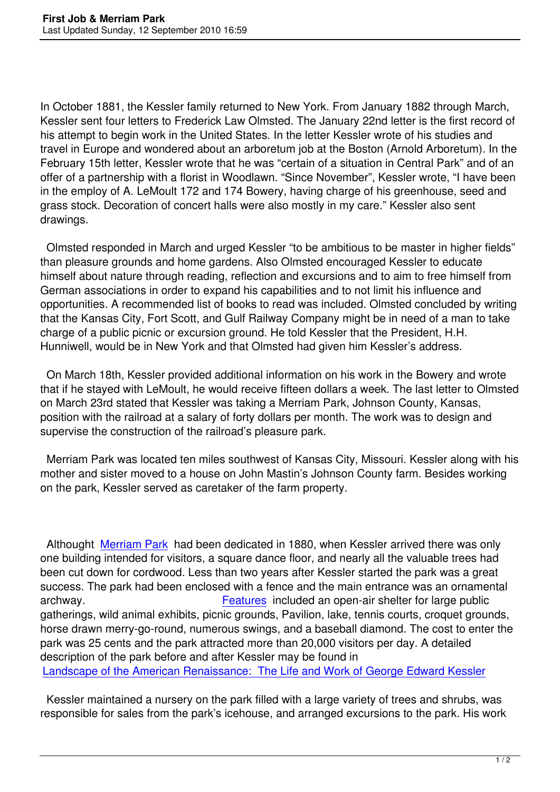In October 1881, the Kessler family returned to New York. From January 1882 through March, Kessler sent four letters to Frederick Law Olmsted. The January 22nd letter is the first record of his attempt to begin work in the United States. In the letter Kessler wrote of his studies and travel in Europe and wondered about an arboretum job at the Boston (Arnold Arboretum). In the February 15th letter, Kessler wrote that he was "certain of a situation in Central Park" and of an offer of a partnership with a florist in Woodlawn. "Since November", Kessler wrote, "I have been in the employ of A. LeMoult 172 and 174 Bowery, having charge of his greenhouse, seed and grass stock. Decoration of concert halls were also mostly in my care." Kessler also sent drawings.

 Olmsted responded in March and urged Kessler "to be ambitious to be master in higher fields" than pleasure grounds and home gardens. Also Olmsted encouraged Kessler to educate himself about nature through reading, reflection and excursions and to aim to free himself from German associations in order to expand his capabilities and to not limit his influence and opportunities. A recommended list of books to read was included. Olmsted concluded by writing that the Kansas City, Fort Scott, and Gulf Railway Company might be in need of a man to take charge of a public picnic or excursion ground. He told Kessler that the President, H.H. Hunniwell, would be in New York and that Olmsted had given him Kessler's address.

 On March 18th, Kessler provided additional information on his work in the Bowery and wrote that if he stayed with LeMoult, he would receive fifteen dollars a week. The last letter to Olmsted on March 23rd stated that Kessler was taking a Merriam Park, Johnson County, Kansas, position with the railroad at a salary of forty dollars per month. The work was to design and supervise the construction of the railroad's pleasure park.

 Merriam Park was located ten miles southwest of Kansas City, Missouri. Kessler along with his mother and sister moved to a house on John Mastin's Johnson County farm. Besides working on the park, Kessler served as caretaker of the farm property.

 Althought Merriam Park had been dedicated in 1880, when Kessler arrived there was only one building intended for visitors, a square dance floor, and nearly all the valuable trees had been cut down for cordwood. Less than two years after Kessler started the park was a great success. Th[e park had be](http://www.exploremerriam.com/MERRIAM/index.htm)en enclosed with a fence and the main entrance was an ornamental archway. Features included an open-air shelter for large public gatherings, wild animal exhibits, picnic grounds, Pavilion, lake, tennis courts, croquet grounds, horse drawn merry-go-round, numerous swings, and a baseball diamond. The cost to enter the park was 25 cents and the park attr[acted more](http://www.davidrumsey.com/luna/servlet/detail/RUMSEY~8~1~23474~820049:Views-of-Merriam-Park,-on-the-Kansa) than 20,000 visitors per day. A detailed description of the park before and after Kessler may be found in Landscape of the American Renaissance: The Life and Work of George Edward Kessler

 Kessler maintained a nursery on the park filled with a large variety of trees and shrubs, was [responsible for sales from the park's icehouse, and arranged excursions to the park. His w](%E2%80%9Dhttp://kurtculbertson.blogspot.com/2005/06/landscape-of-american-renaissance-life.html%E2%80%9D)ork